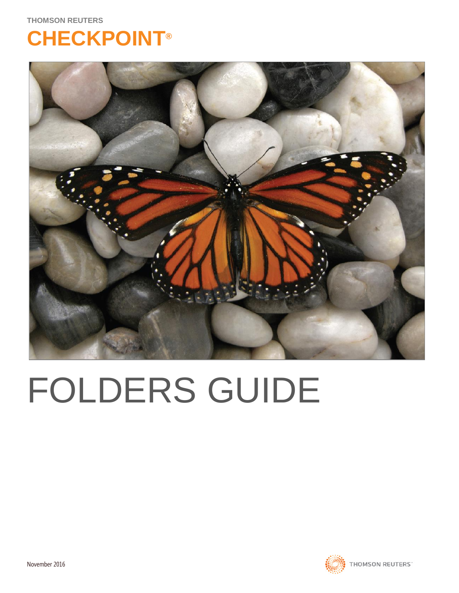## **CHECKPOINT®**



# FOLDERS GUIDE

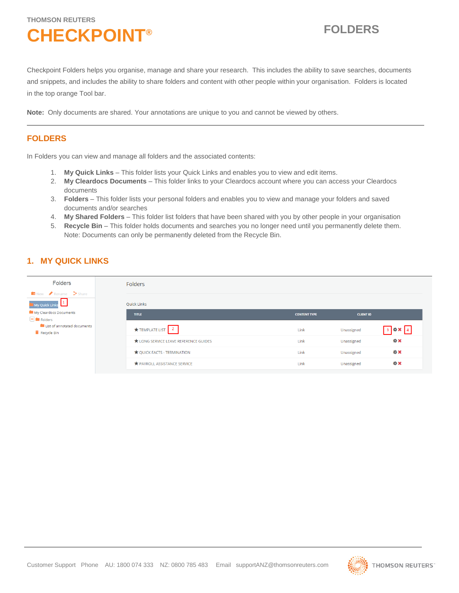## **THOMSON REUTERS CHECKPOINT® FOLDERS**

Checkpoint Folders helps you organise, manage and share your research. This includes the ability to save searches, documents and snippets, and includes the ability to share folders and content with other people within your organisation. Folders is located in the top orange Tool bar.

**Note:** Only documents are shared. Your annotations are unique to you and cannot be viewed by others.

## **FOLDERS**

In Folders you can view and manage all folders and the associated contents:

- 1. **My Quick Links** This folder lists your Quick Links and enables you to view and edit items.
- 2. **My Cleardocs Documents** This folder links to your Cleardocs account where you can access your Cleardocs documents
- 3. **Folders** This folder lists your personal folders and enables you to view and manage your folders and saved documents and/or searches
- 4. **My Shared Folders** This folder list folders that have been shared with you by other people in your organisation
- 5. **Recycle Bin** This folder holds documents and searches you no longer need until you permanently delete them. Note: Documents can only be permanently deleted from the Recycle Bin.

## **1. MY QUICK LINKS**

| <b>Folders</b>                                                       | Folders                             |                     |                  |           |  |  |
|----------------------------------------------------------------------|-------------------------------------|---------------------|------------------|-----------|--|--|
| $\blacksquare$ New Rename $\triangleright$ Share<br>My Quick Links 1 | Ouick Links                         |                     |                  |           |  |  |
| My Cleardocs Documents<br>$\Box$ Folders                             | <b>TITLE</b>                        | <b>CONTENT TYPE</b> | <b>CLIENT ID</b> |           |  |  |
| List of annotated documents<br>Recycle Bin                           | TEMPLATE LIST   2                   | Link                | Unassigned       | <b>特米</b> |  |  |
|                                                                      | LONG SERVICE LEAVE REFERENCE GUIDES | Link                | Unassigned       | <b>京文</b> |  |  |
|                                                                      | OUICK FACTS - TERMINATION           | Link                | Unassigned       | <b>奈米</b> |  |  |
|                                                                      | <b>TRAYROLL ASSISTANCE SERVICE</b>  | Link                | Unassigned       | <b>奈米</b> |  |  |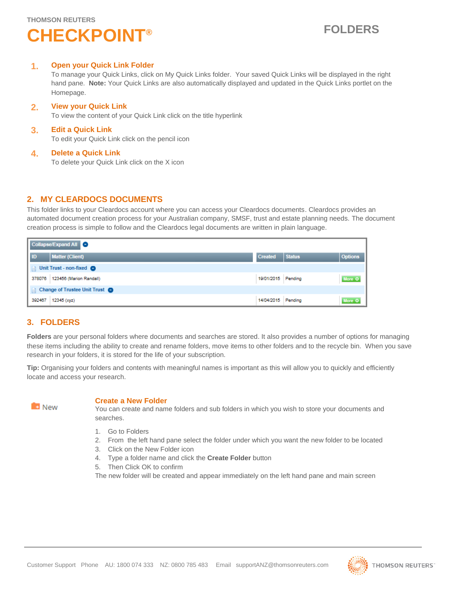## **CHECKPOINT® FOLDERS**

## **1. Open your Quick Link Folder**

To manage your Quick Links, click on My Quick Links folder. Your saved Quick Links will be displayed in the right hand pane. **Note:** Your Quick Links are also automatically displayed and updated in the Quick Links portlet on the Homepage.

## **2. View your Quick Link**

To view the content of your Quick Link click on the title hyperlink

## **3. Edit a Quick Link**

To edit your Quick Link click on the pencil icon

## **4. Delete a Quick Link**

To delete your Quick Link click on the X icon

## **2. MY CLEARDOCS DOCUMENTS**

This folder links to your Cleardocs account where you can access your Cleardocs documents. Cleardocs provides an automated document creation process for your Australian company, SMSF, trust and estate planning needs. The document creation process is simple to follow and the Cleardocs legal documents are written in plain language.

| Collapse/Expand All                |                                  |                    |               |                |  |  |
|------------------------------------|----------------------------------|--------------------|---------------|----------------|--|--|
| ID                                 | <b>Matter (Client)</b>           | <b>Created</b>     | <b>Status</b> | <b>Options</b> |  |  |
| Unit Trust - non-fixed O<br>$\Box$ |                                  |                    |               |                |  |  |
|                                    | 378076   123456 (Marion Randall) | 19/01/2015 Pending |               | More O         |  |  |
| Change of Trustee Unit Trust       |                                  |                    |               |                |  |  |
| 392467                             | 12345 (xyz)                      | 14/04/2015 Pending |               | More O         |  |  |

## **3. FOLDERS**

**Folders** are your personal folders where documents and searches are stored. It also provides a number of options for managing these items including the ability to create and rename folders, move items to other folders and to the recycle bin. When you save research in your folders, it is stored for the life of your subscription.

**Tip:** Organising your folders and contents with meaningful names is important as this will allow you to quickly and efficiently locate and access your research.



## **Create a New Folder**

You can create and name folders and sub folders in which you wish to store your documents and searches.

- 1. Go to Folders
- 2. From the left hand pane select the folder under which you want the new folder to be located
- 3. Click on the New Folder icon
- 4. Type a folder name and click the **Create Folder** button
- 5. Then Click OK to confirm

The new folder will be created and appear immediately on the left hand pane and main screen

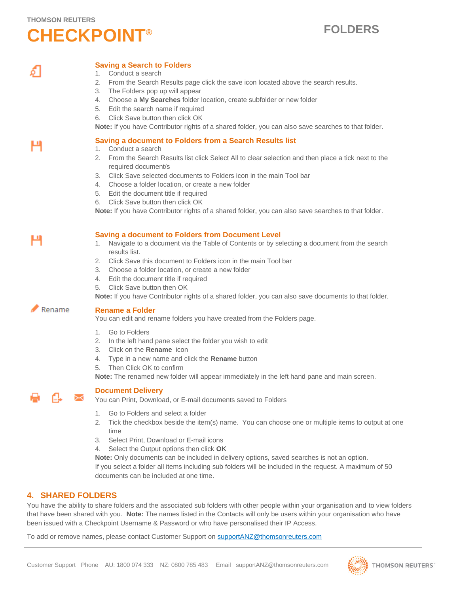## **THOMSON REUTERS CHECKPOINT® FOLDERS**

## **Saving a Search to Folders**

- 1. Conduct a search
- 2. From the Search Results page click the save icon located above the search results.
- 3. The Folders pop up will appear
- 4. Choose a **My Searches** folder location, create subfolder or new folder
- 5. Edit the search name if required
- 6. Click Save button then click OK

**Note:** If you have Contributor rights of a shared folder, you can also save searches to that folder.

## **Saving a document to Folders from a Search Results list**

- 1. Conduct a search
- 2. From the Search Results list click Select All to clear selection and then place a tick next to the required document/s
- 3. Click Save selected documents to Folders icon in the main Tool bar
- 4. Choose a folder location, or create a new folder
- 5. Edit the document title if required
- 6. Click Save button then click OK

**Note:** If you have Contributor rights of a shared folder, you can also save searches to that folder.

н

н

## **Saving a document to Folders from Document Level**

- 1. Navigate to a document via the Table of Contents or by selecting a document from the search results list.
- 2. Click Save this document to Folders icon in the main Tool bar
- 3. Choose a folder location, or create a new folder
- 4. Edit the document title if required
- 5. Click Save button then OK

**Note:** If you have Contributor rights of a shared folder, you can also save documents to that folder.

### Rename **Rename a Folder**

You can edit and rename folders you have created from the Folders page.

- 1. Go to Folders
- 2. In the left hand pane select the folder you wish to edit
- 3. Click on the **Rename** icon
- 4. Type in a new name and click the **Rename** button
- 5. Then Click OK to confirm

**Note:** The renamed new folder will appear immediately in the left hand pane and main screen.

## **Document Delivery**

You can Print, Download, or E-mail documents saved to Folders

- 1. Go to Folders and select a folder
- 2. Tick the checkbox beside the item(s) name. You can choose one or multiple items to output at one time
- 3. Select Print, Download or E-mail icons
- 4. Select the Output options then click **OK**

**Note:** Only documents can be included in delivery options, saved searches is not an option. If you select a folder all items including sub folders will be included in the request. A maximum of 50 documents can be included at one time.

## **4. SHARED FOLDERS**

You have the ability to share folders and the associated sub folders with other people within your organisation and to view folders that have been shared with you. **Note:** The names listed in the Contacts will only be users within your organisation who have been issued with a Checkpoint Username & Password or who have personalised their IP Access.

To add or remove names, please contact Customer Support on supportANZ@thomsonreuters.com

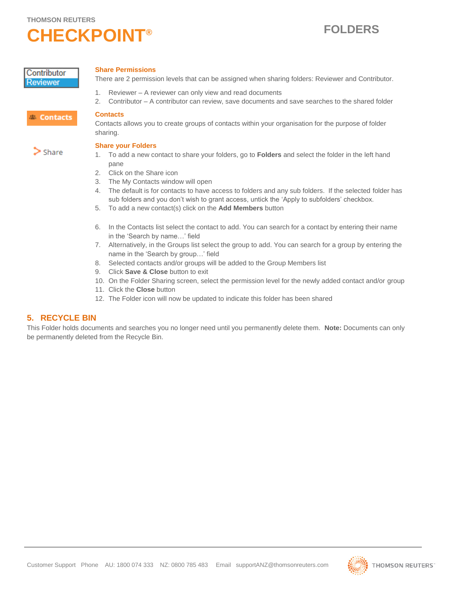## **CHECKPOINT® FOLDERS**

Contributor **Reviewer** 

## **Share Permissions**

There are 2 permission levels that can be assigned when sharing folders: Reviewer and Contributor.

- 1. Reviewer A reviewer can only view and read documents
- 2. Contributor A contributor can review, save documents and save searches to the shared folder

## <sup>23</sup> Contacts

Contacts allows you to create groups of contacts within your organisation for the purpose of folder sharing.

## **Share your Folders**

**Contacts**

- 1. To add a new contact to share your folders, go to **Folders** and select the folder in the left hand pane
- 2. Click on the Share icon
- 3. The My Contacts window will open
- 4. The default is for contacts to have access to folders and any sub folders. If the selected folder has sub folders and you don't wish to grant access, untick the 'Apply to subfolders' checkbox.
- 5. To add a new contact(s) click on the **Add Members** button
- 6. In the Contacts list select the contact to add. You can search for a contact by entering their name in the 'Search by name…' field
- 7. Alternatively, in the Groups list select the group to add. You can search for a group by entering the name in the 'Search by group…' field
- 8. Selected contacts and/or groups will be added to the Group Members list
- 9. Click **Save & Close** button to exit
- 10. On the Folder Sharing screen, select the permission level for the newly added contact and/or group
- 11. Click the **Close** button
- 12. The Folder icon will now be updated to indicate this folder has been shared

## **5. RECYCLE BIN**

This Folder holds documents and searches you no longer need until you permanently delete them. **Note:** Documents can only be permanently deleted from the Recycle Bin.